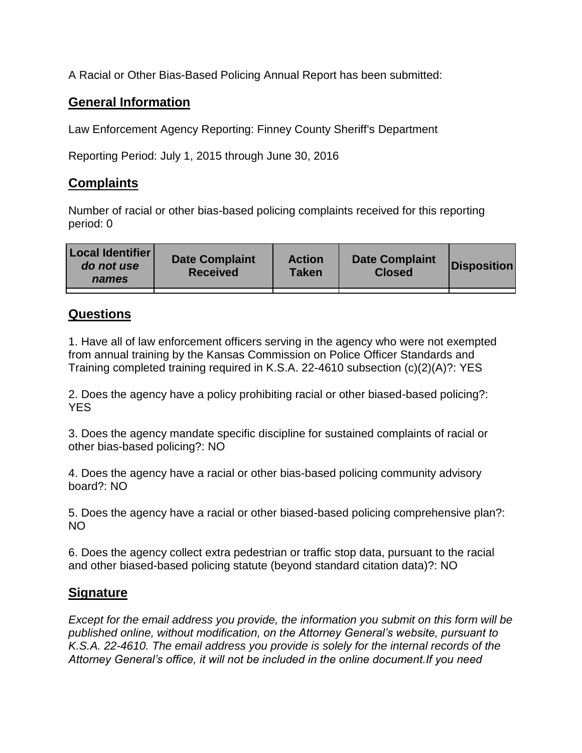A Racial or Other Bias-Based Policing Annual Report has been submitted:

## **General Information**

Law Enforcement Agency Reporting: Finney County Sheriff's Department

Reporting Period: July 1, 2015 through June 30, 2016

## **Complaints**

Number of racial or other bias-based policing complaints received for this reporting period: 0

| <b>Local Identifier</b><br>do not use<br>names | <b>Date Complaint</b><br><b>Received</b> | <b>Action</b><br><b>Taken</b> | <b>Date Complaint</b><br><b>Closed</b> | Disposition |
|------------------------------------------------|------------------------------------------|-------------------------------|----------------------------------------|-------------|
|                                                |                                          |                               |                                        |             |

## **Questions**

1. Have all of law enforcement officers serving in the agency who were not exempted from annual training by the Kansas Commission on Police Officer Standards and Training completed training required in K.S.A. 22-4610 subsection (c)(2)(A)?: YES

2. Does the agency have a policy prohibiting racial or other biased-based policing?: YES

3. Does the agency mandate specific discipline for sustained complaints of racial or other bias-based policing?: NO

4. Does the agency have a racial or other bias-based policing community advisory board?: NO

5. Does the agency have a racial or other biased-based policing comprehensive plan?: NO

6. Does the agency collect extra pedestrian or traffic stop data, pursuant to the racial and other biased-based policing statute (beyond standard citation data)?: NO

## **Signature**

*Except for the email address you provide, the information you submit on this form will be published online, without modification, on the Attorney General's website, pursuant to K.S.A. 22-4610. The email address you provide is solely for the internal records of the Attorney General's office, it will not be included in the online document.If you need*